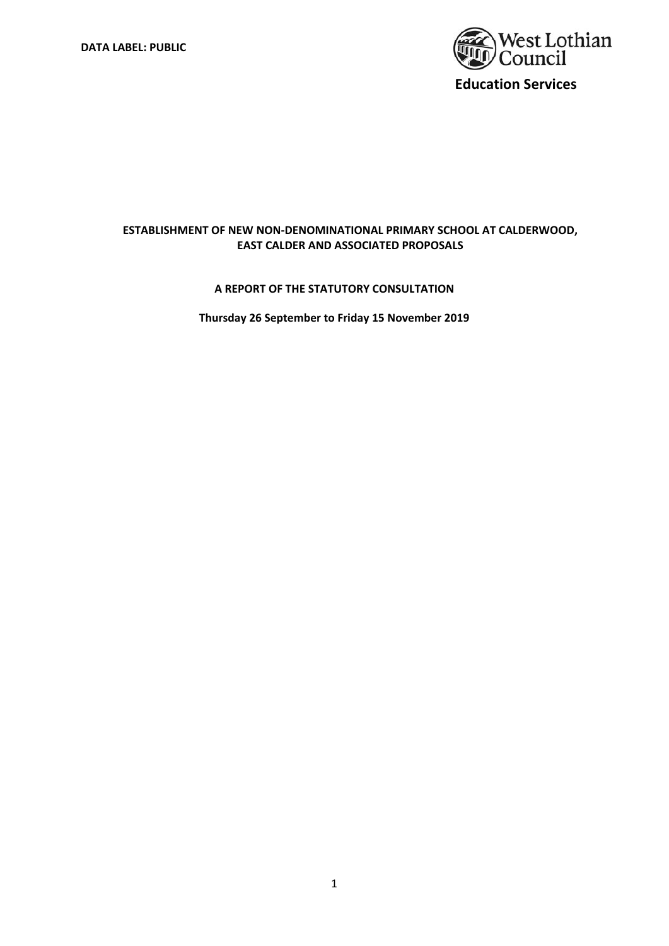

## **ESTABLISHMENT OF NEW NON‐DENOMINATIONAL PRIMARY SCHOOL AT CALDERWOOD, EAST CALDER AND ASSOCIATED PROPOSALS**

## **A REPORT OF THE STATUTORY CONSULTATION**

**Thursday 26 September to Friday 15 November 2019**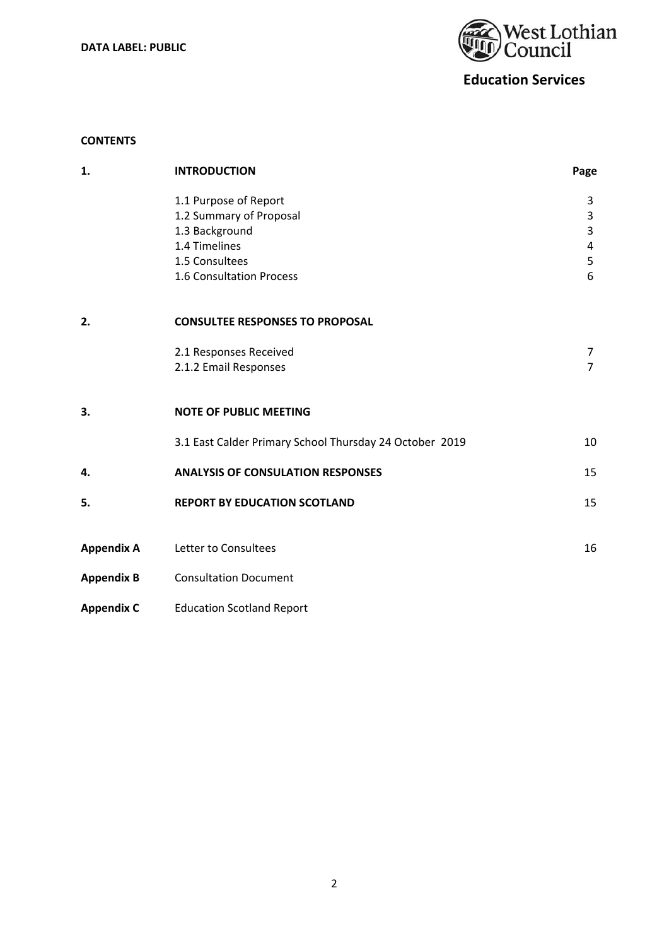**DATA LABEL: PUBLIC** 



# **Education Services**

## **CONTENTS**

| 1.                | <b>INTRODUCTION</b>                                     | Page                           |
|-------------------|---------------------------------------------------------|--------------------------------|
|                   | 1.1 Purpose of Report                                   | 3                              |
|                   | 1.2 Summary of Proposal<br>1.3 Background               | $\mathsf{3}$<br>$\overline{3}$ |
|                   | 1.4 Timelines                                           | 4                              |
|                   | 1.5 Consultees                                          | 5                              |
|                   | 1.6 Consultation Process                                | 6                              |
| 2.                | <b>CONSULTEE RESPONSES TO PROPOSAL</b>                  |                                |
|                   | 2.1 Responses Received                                  | 7                              |
|                   | 2.1.2 Email Responses                                   | $\overline{7}$                 |
| 3.                | <b>NOTE OF PUBLIC MEETING</b>                           |                                |
|                   | 3.1 East Calder Primary School Thursday 24 October 2019 | 10                             |
| 4.                | <b>ANALYSIS OF CONSULATION RESPONSES</b>                | 15                             |
| 5.                | <b>REPORT BY EDUCATION SCOTLAND</b>                     | 15                             |
| <b>Appendix A</b> | Letter to Consultees                                    | 16                             |
|                   |                                                         |                                |
| <b>Appendix B</b> | <b>Consultation Document</b>                            |                                |
| <b>Appendix C</b> | <b>Education Scotland Report</b>                        |                                |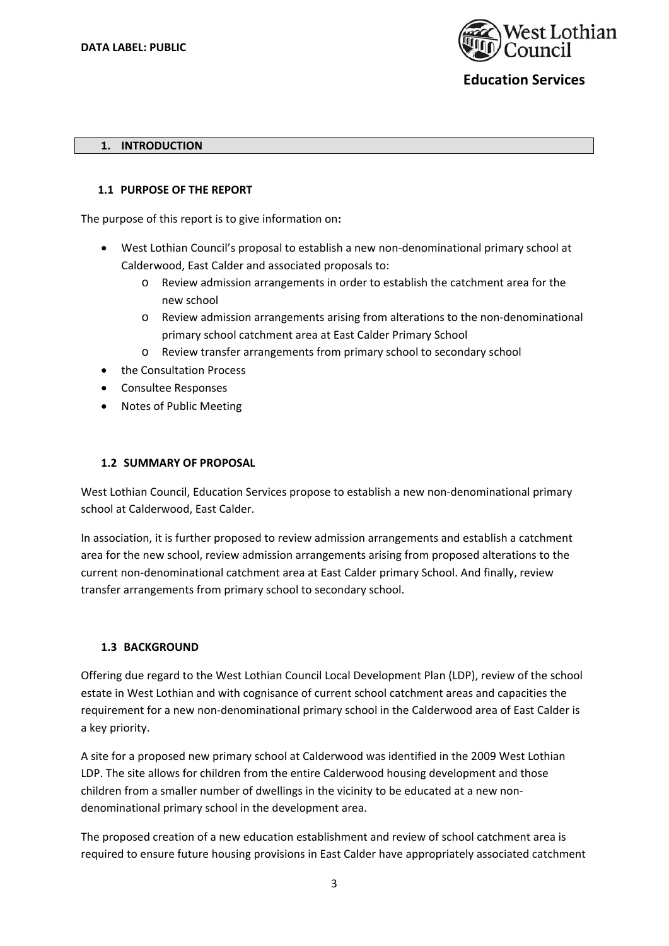

#### **1. INTRODUCTION**

#### **1.1 PURPOSE OF THE REPORT**

The purpose of this report is to give information on**:** 

- West Lothian Council's proposal to establish a new non‐denominational primary school at Calderwood, East Calder and associated proposals to:
	- o Review admission arrangements in order to establish the catchment area for the new school
	- o Review admission arrangements arising from alterations to the non‐denominational primary school catchment area at East Calder Primary School
	- Review transfer arrangements from primary school to secondary school
- the Consultation Process
- Consultee Responses
- Notes of Public Meeting

#### **1.2 SUMMARY OF PROPOSAL**

West Lothian Council, Education Services propose to establish a new non‐denominational primary school at Calderwood, East Calder.

In association, it is further proposed to review admission arrangements and establish a catchment area for the new school, review admission arrangements arising from proposed alterations to the current non‐denominational catchment area at East Calder primary School. And finally, review transfer arrangements from primary school to secondary school.

#### **1.3 BACKGROUND**

Offering due regard to the West Lothian Council Local Development Plan (LDP), review of the school estate in West Lothian and with cognisance of current school catchment areas and capacities the requirement for a new non‐denominational primary school in the Calderwood area of East Calder is a key priority.

A site for a proposed new primary school at Calderwood was identified in the 2009 West Lothian LDP. The site allows for children from the entire Calderwood housing development and those children from a smaller number of dwellings in the vicinity to be educated at a new non‐ denominational primary school in the development area.

The proposed creation of a new education establishment and review of school catchment area is required to ensure future housing provisions in East Calder have appropriately associated catchment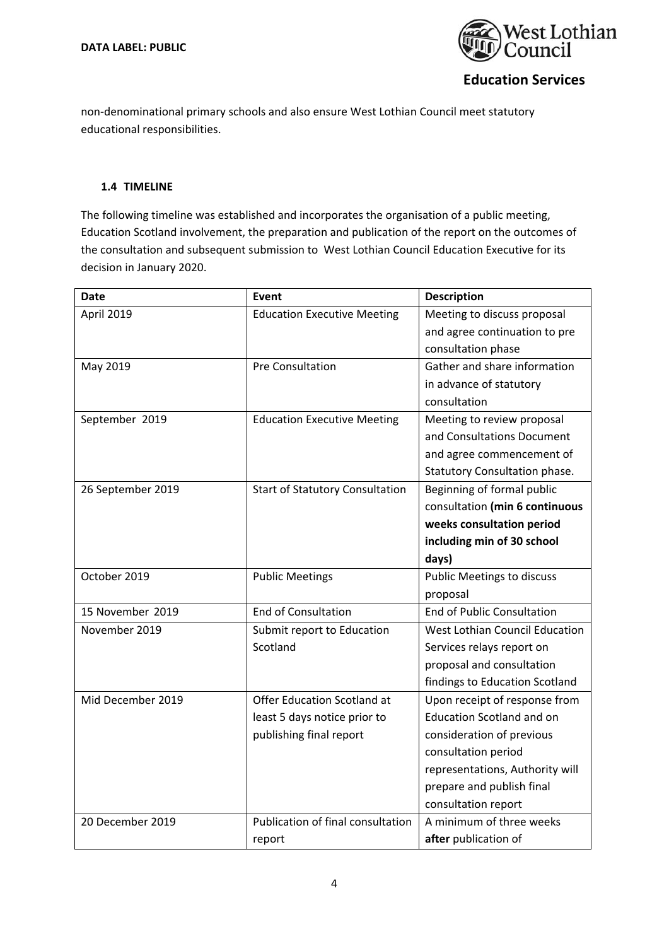

non‐denominational primary schools and also ensure West Lothian Council meet statutory educational responsibilities.

## **1.4 TIMELINE**

The following timeline was established and incorporates the organisation of a public meeting, Education Scotland involvement, the preparation and publication of the report on the outcomes of the consultation and subsequent submission to West Lothian Council Education Executive for its decision in January 2020.

| <b>Date</b>       | Event                                  | <b>Description</b>                    |
|-------------------|----------------------------------------|---------------------------------------|
| April 2019        | <b>Education Executive Meeting</b>     | Meeting to discuss proposal           |
|                   |                                        | and agree continuation to pre         |
|                   |                                        | consultation phase                    |
| May 2019          | Pre Consultation                       | Gather and share information          |
|                   |                                        | in advance of statutory               |
|                   |                                        | consultation                          |
| September 2019    | <b>Education Executive Meeting</b>     | Meeting to review proposal            |
|                   |                                        | and Consultations Document            |
|                   |                                        | and agree commencement of             |
|                   |                                        | Statutory Consultation phase.         |
| 26 September 2019 | <b>Start of Statutory Consultation</b> | Beginning of formal public            |
|                   |                                        | consultation (min 6 continuous        |
|                   |                                        | weeks consultation period             |
|                   |                                        | including min of 30 school            |
|                   |                                        | days)                                 |
| October 2019      | <b>Public Meetings</b>                 | <b>Public Meetings to discuss</b>     |
|                   |                                        | proposal                              |
| 15 November 2019  | <b>End of Consultation</b>             | <b>End of Public Consultation</b>     |
| November 2019     | Submit report to Education             | <b>West Lothian Council Education</b> |
|                   | Scotland                               | Services relays report on             |
|                   |                                        | proposal and consultation             |
|                   |                                        | findings to Education Scotland        |
| Mid December 2019 | Offer Education Scotland at            | Upon receipt of response from         |
|                   | least 5 days notice prior to           | <b>Education Scotland and on</b>      |
|                   | publishing final report                | consideration of previous             |
|                   |                                        | consultation period                   |
|                   |                                        | representations, Authority will       |
|                   |                                        | prepare and publish final             |
|                   |                                        | consultation report                   |
| 20 December 2019  | Publication of final consultation      | A minimum of three weeks              |
|                   | report                                 | after publication of                  |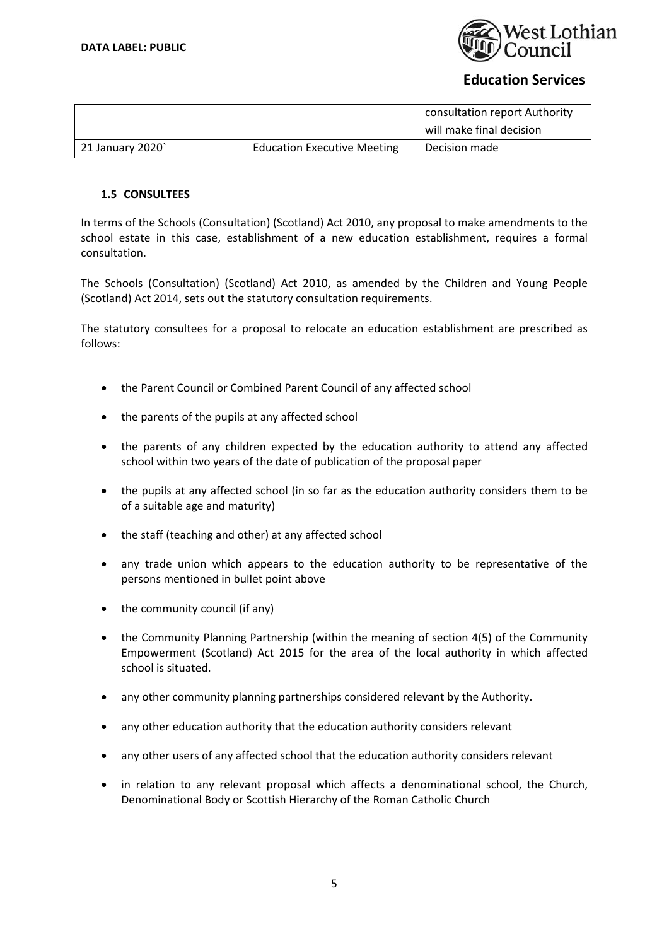

|                 |                                    | consultation report Authority |
|-----------------|------------------------------------|-------------------------------|
|                 |                                    | will make final decision      |
| 21 January 2020 | <b>Education Executive Meeting</b> | Decision made                 |

## **1.5 CONSULTEES**

In terms of the Schools (Consultation) (Scotland) Act 2010, any proposal to make amendments to the school estate in this case, establishment of a new education establishment, requires a formal consultation.

The Schools (Consultation) (Scotland) Act 2010, as amended by the Children and Young People (Scotland) Act 2014, sets out the statutory consultation requirements.

The statutory consultees for a proposal to relocate an education establishment are prescribed as follows:

- the Parent Council or Combined Parent Council of any affected school
- the parents of the pupils at any affected school
- the parents of any children expected by the education authority to attend any affected school within two years of the date of publication of the proposal paper
- the pupils at any affected school (in so far as the education authority considers them to be of a suitable age and maturity)
- the staff (teaching and other) at any affected school
- any trade union which appears to the education authority to be representative of the persons mentioned in bullet point above
- the community council (if any)
- the Community Planning Partnership (within the meaning of section 4(5) of the Community Empowerment (Scotland) Act 2015 for the area of the local authority in which affected school is situated.
- any other community planning partnerships considered relevant by the Authority.
- any other education authority that the education authority considers relevant
- any other users of any affected school that the education authority considers relevant
- $\bullet$  in relation to any relevant proposal which affects a denominational school, the Church, Denominational Body or Scottish Hierarchy of the Roman Catholic Church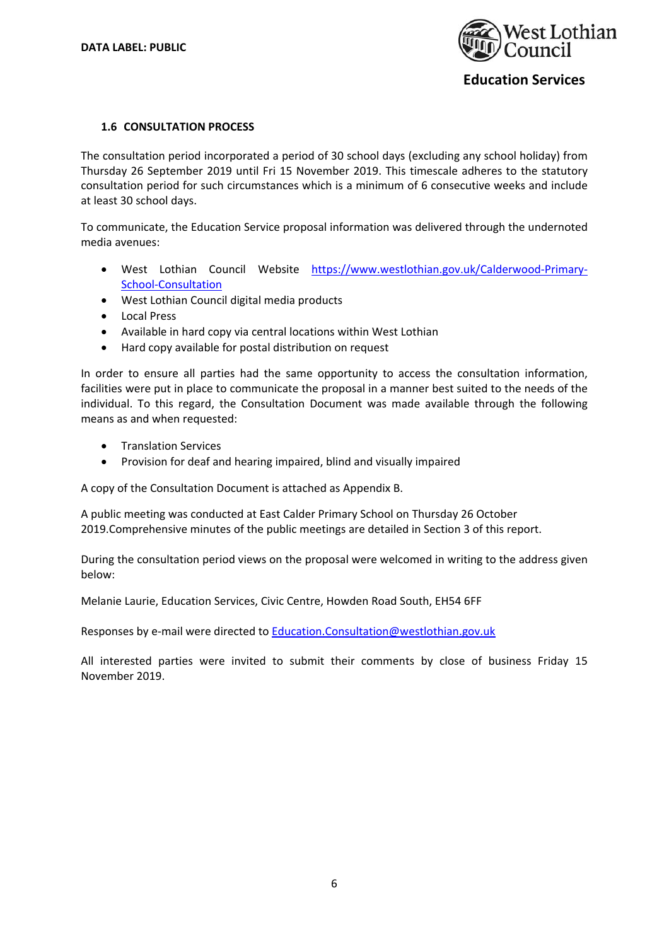

#### **1.6 CONSULTATION PROCESS**

The consultation period incorporated a period of 30 school days (excluding any school holiday) from Thursday 26 September 2019 until Fri 15 November 2019. This timescale adheres to the statutory consultation period for such circumstances which is a minimum of 6 consecutive weeks and include at least 30 school days.

To communicate, the Education Service proposal information was delivered through the undernoted media avenues:

- West Lothian Council Website https://www.westlothian.gov.uk/Calderwood‐Primary‐ School‐Consultation
- West Lothian Council digital media products
- Local Press
- Available in hard copy via central locations within West Lothian
- Hard copy available for postal distribution on request

In order to ensure all parties had the same opportunity to access the consultation information, facilities were put in place to communicate the proposal in a manner best suited to the needs of the individual. To this regard, the Consultation Document was made available through the following means as and when requested:

- **•** Translation Services
- Provision for deaf and hearing impaired, blind and visually impaired

A copy of the Consultation Document is attached as Appendix B.

A public meeting was conducted at East Calder Primary School on Thursday 26 October 2019.Comprehensive minutes of the public meetings are detailed in Section 3 of this report.

During the consultation period views on the proposal were welcomed in writing to the address given below:

Melanie Laurie, Education Services, Civic Centre, Howden Road South, EH54 6FF

Responses by e-mail were directed to Education.Consultation@westlothian.gov.uk

All interested parties were invited to submit their comments by close of business Friday 15 November 2019.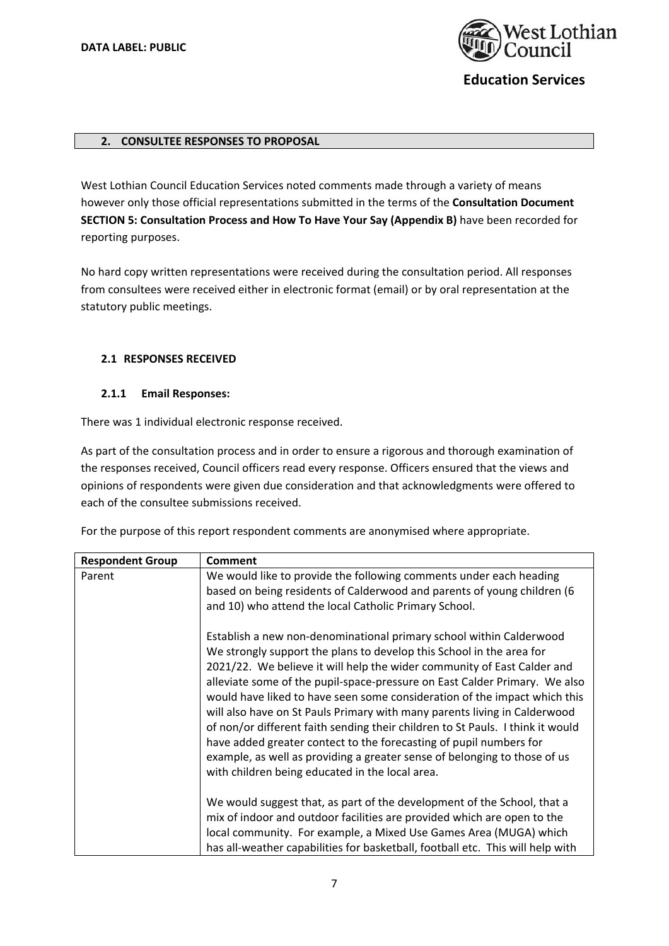

## **2. CONSULTEE RESPONSES TO PROPOSAL**

West Lothian Council Education Services noted comments made through a variety of means however only those official representations submitted in the terms of the **Consultation Document SECTION 5: Consultation Process and How To Have Your Say (Appendix B)** have been recorded for reporting purposes.

No hard copy written representations were received during the consultation period. All responses from consultees were received either in electronic format (email) or by oral representation at the statutory public meetings.

#### **2.1 RESPONSES RECEIVED**

#### **2.1.1 Email Responses:**

There was 1 individual electronic response received.

As part of the consultation process and in order to ensure a rigorous and thorough examination of the responses received, Council officers read every response. Officers ensured that the views and opinions of respondents were given due consideration and that acknowledgments were offered to each of the consultee submissions received.

For the purpose of this report respondent comments are anonymised where appropriate.

| <b>Respondent Group</b> | <b>Comment</b>                                                                                                                                                                                                                                                                                                                                                                                                                                                                                                                                                                                                                                                                                                                                         |
|-------------------------|--------------------------------------------------------------------------------------------------------------------------------------------------------------------------------------------------------------------------------------------------------------------------------------------------------------------------------------------------------------------------------------------------------------------------------------------------------------------------------------------------------------------------------------------------------------------------------------------------------------------------------------------------------------------------------------------------------------------------------------------------------|
| Parent                  | We would like to provide the following comments under each heading<br>based on being residents of Calderwood and parents of young children (6<br>and 10) who attend the local Catholic Primary School.                                                                                                                                                                                                                                                                                                                                                                                                                                                                                                                                                 |
|                         | Establish a new non-denominational primary school within Calderwood<br>We strongly support the plans to develop this School in the area for<br>2021/22. We believe it will help the wider community of East Calder and<br>alleviate some of the pupil-space-pressure on East Calder Primary. We also<br>would have liked to have seen some consideration of the impact which this<br>will also have on St Pauls Primary with many parents living in Calderwood<br>of non/or different faith sending their children to St Pauls. I think it would<br>have added greater contect to the forecasting of pupil numbers for<br>example, as well as providing a greater sense of belonging to those of us<br>with children being educated in the local area. |
|                         | We would suggest that, as part of the development of the School, that a<br>mix of indoor and outdoor facilities are provided which are open to the<br>local community. For example, a Mixed Use Games Area (MUGA) which<br>has all-weather capabilities for basketball, football etc. This will help with                                                                                                                                                                                                                                                                                                                                                                                                                                              |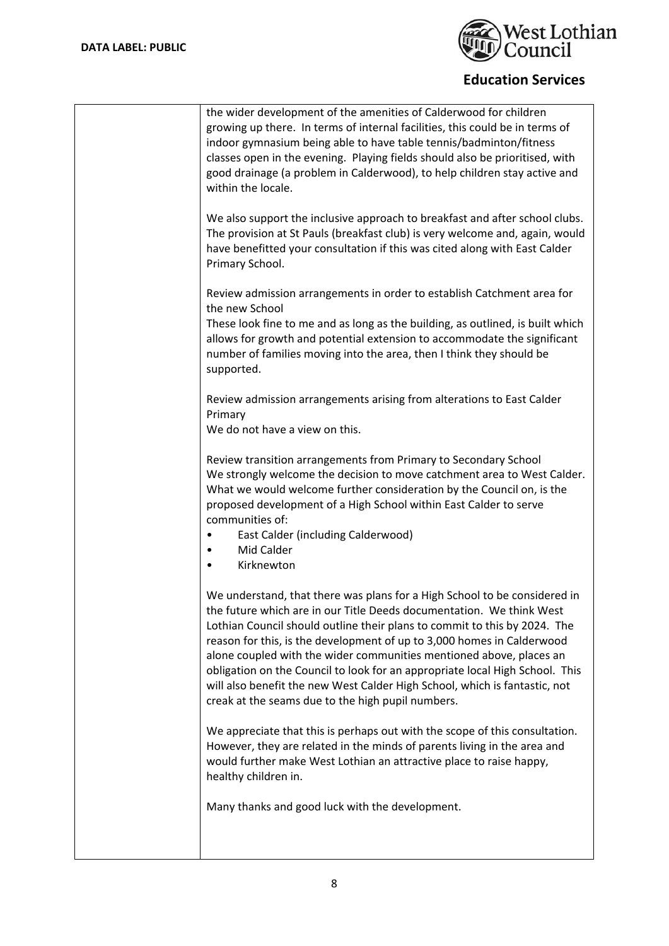

| the wider development of the amenities of Calderwood for children<br>growing up there. In terms of internal facilities, this could be in terms of<br>indoor gymnasium being able to have table tennis/badminton/fitness<br>classes open in the evening. Playing fields should also be prioritised, with<br>good drainage (a problem in Calderwood), to help children stay active and<br>within the locale.                                                                                                                                                                                         |
|----------------------------------------------------------------------------------------------------------------------------------------------------------------------------------------------------------------------------------------------------------------------------------------------------------------------------------------------------------------------------------------------------------------------------------------------------------------------------------------------------------------------------------------------------------------------------------------------------|
| We also support the inclusive approach to breakfast and after school clubs.<br>The provision at St Pauls (breakfast club) is very welcome and, again, would<br>have benefitted your consultation if this was cited along with East Calder<br>Primary School.                                                                                                                                                                                                                                                                                                                                       |
| Review admission arrangements in order to establish Catchment area for                                                                                                                                                                                                                                                                                                                                                                                                                                                                                                                             |
| the new School<br>These look fine to me and as long as the building, as outlined, is built which<br>allows for growth and potential extension to accommodate the significant<br>number of families moving into the area, then I think they should be<br>supported.                                                                                                                                                                                                                                                                                                                                 |
| Review admission arrangements arising from alterations to East Calder<br>Primary                                                                                                                                                                                                                                                                                                                                                                                                                                                                                                                   |
| We do not have a view on this.                                                                                                                                                                                                                                                                                                                                                                                                                                                                                                                                                                     |
| Review transition arrangements from Primary to Secondary School<br>We strongly welcome the decision to move catchment area to West Calder.<br>What we would welcome further consideration by the Council on, is the<br>proposed development of a High School within East Calder to serve<br>communities of:<br>East Calder (including Calderwood)<br>٠<br>Mid Calder<br>$\bullet$<br>Kirknewton                                                                                                                                                                                                    |
| We understand, that there was plans for a High School to be considered in<br>the future which are in our Title Deeds documentation. We think West<br>Lothian Council should outline their plans to commit to this by 2024. The<br>reason for this, is the development of up to 3,000 homes in Calderwood<br>alone coupled with the wider communities mentioned above, places an<br>obligation on the Council to look for an appropriate local High School. This<br>will also benefit the new West Calder High School, which is fantastic, not<br>creak at the seams due to the high pupil numbers. |
| We appreciate that this is perhaps out with the scope of this consultation.<br>However, they are related in the minds of parents living in the area and<br>would further make West Lothian an attractive place to raise happy,<br>healthy children in.                                                                                                                                                                                                                                                                                                                                             |
| Many thanks and good luck with the development.                                                                                                                                                                                                                                                                                                                                                                                                                                                                                                                                                    |
|                                                                                                                                                                                                                                                                                                                                                                                                                                                                                                                                                                                                    |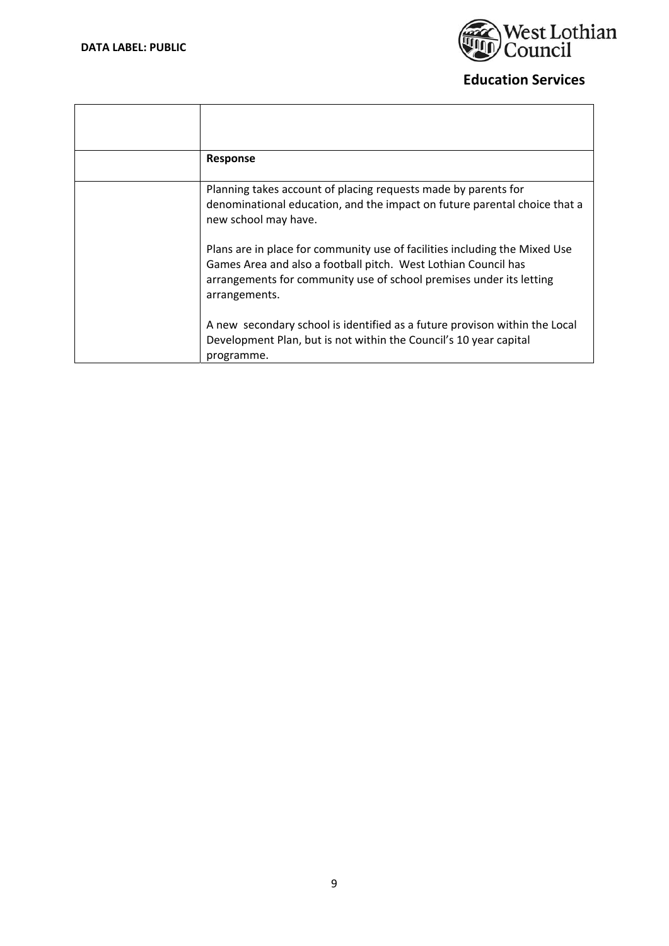

| Response                                                                                                                                                                                                                             |
|--------------------------------------------------------------------------------------------------------------------------------------------------------------------------------------------------------------------------------------|
| Planning takes account of placing requests made by parents for<br>denominational education, and the impact on future parental choice that a<br>new school may have.                                                                  |
| Plans are in place for community use of facilities including the Mixed Use<br>Games Area and also a football pitch. West Lothian Council has<br>arrangements for community use of school premises under its letting<br>arrangements. |
| A new secondary school is identified as a future provison within the Local<br>Development Plan, but is not within the Council's 10 year capital<br>programme.                                                                        |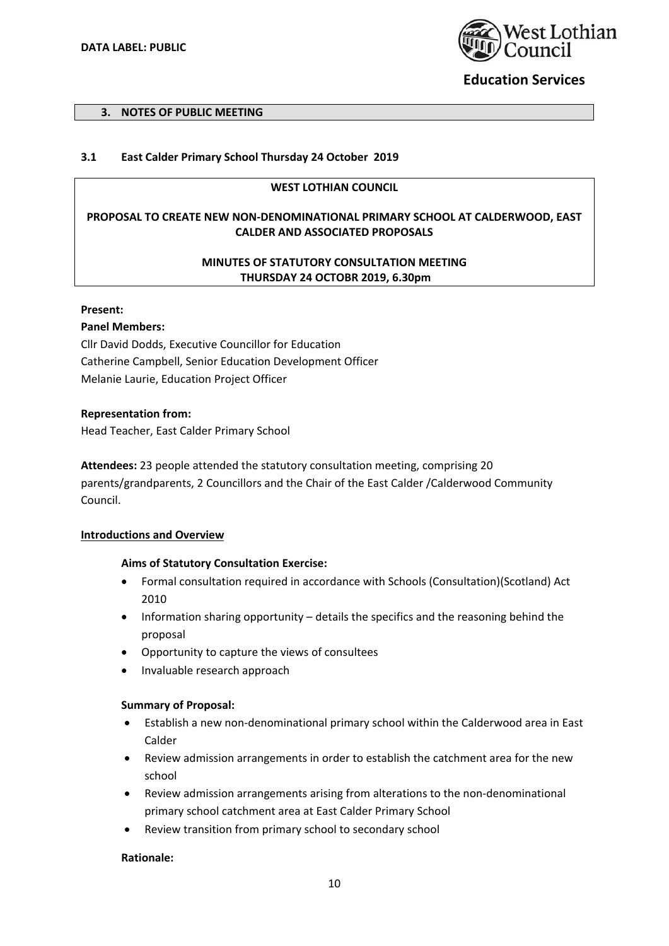

#### **3. NOTES OF PUBLIC MEETING**

## **3.1 East Calder Primary School Thursday 24 October 2019**

#### **WEST LOTHIAN COUNCIL**

## **PROPOSAL TO CREATE NEW NON‐DENOMINATIONAL PRIMARY SCHOOL AT CALDERWOOD, EAST CALDER AND ASSOCIATED PROPOSALS**

## **MINUTES OF STATUTORY CONSULTATION MEETING THURSDAY 24 OCTOBR 2019, 6.30pm**

#### **Present:**

#### **Panel Members:**

Cllr David Dodds, Executive Councillor for Education Catherine Campbell, Senior Education Development Officer Melanie Laurie, Education Project Officer

#### **Representation from:**

Head Teacher, East Calder Primary School

**Attendees:** 23 people attended the statutory consultation meeting, comprising 20 parents/grandparents, 2 Councillors and the Chair of the East Calder /Calderwood Community Council.

#### **Introductions and Overview**

#### **Aims of Statutory Consultation Exercise:**

- Formal consultation required in accordance with Schools (Consultation)(Scotland) Act 2010
- Information sharing opportunity details the specifics and the reasoning behind the proposal
- Opportunity to capture the views of consultees
- Invaluable research approach

#### **Summary of Proposal:**

- Establish a new non‐denominational primary school within the Calderwood area in East Calder
- Review admission arrangements in order to establish the catchment area for the new school
- Review admission arrangements arising from alterations to the non‐denominational primary school catchment area at East Calder Primary School
- Review transition from primary school to secondary school

#### **Rationale:**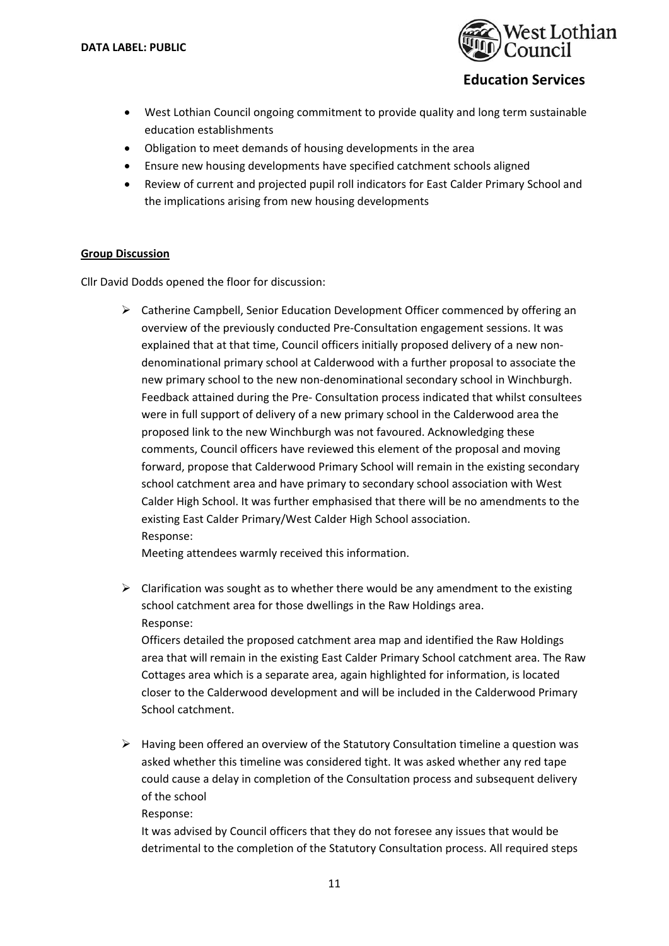

- West Lothian Council ongoing commitment to provide quality and long term sustainable education establishments
- Obligation to meet demands of housing developments in the area
- Ensure new housing developments have specified catchment schools aligned
- Review of current and projected pupil roll indicators for East Calder Primary School and the implications arising from new housing developments

## **Group Discussion**

Cllr David Dodds opened the floor for discussion:

 $\triangleright$  Catherine Campbell, Senior Education Development Officer commenced by offering an overview of the previously conducted Pre‐Consultation engagement sessions. It was explained that at that time, Council officers initially proposed delivery of a new non‐ denominational primary school at Calderwood with a further proposal to associate the new primary school to the new non-denominational secondary school in Winchburgh. Feedback attained during the Pre‐ Consultation process indicated that whilst consultees were in full support of delivery of a new primary school in the Calderwood area the proposed link to the new Winchburgh was not favoured. Acknowledging these comments, Council officers have reviewed this element of the proposal and moving forward, propose that Calderwood Primary School will remain in the existing secondary school catchment area and have primary to secondary school association with West Calder High School. It was further emphasised that there will be no amendments to the existing East Calder Primary/West Calder High School association. Response:

Meeting attendees warmly received this information.

 $\triangleright$  Clarification was sought as to whether there would be any amendment to the existing school catchment area for those dwellings in the Raw Holdings area. Response:

Officers detailed the proposed catchment area map and identified the Raw Holdings area that will remain in the existing East Calder Primary School catchment area. The Raw Cottages area which is a separate area, again highlighted for information, is located closer to the Calderwood development and will be included in the Calderwood Primary School catchment.

 $\triangleright$  Having been offered an overview of the Statutory Consultation timeline a question was asked whether this timeline was considered tight. It was asked whether any red tape could cause a delay in completion of the Consultation process and subsequent delivery of the school

Response:

It was advised by Council officers that they do not foresee any issues that would be detrimental to the completion of the Statutory Consultation process. All required steps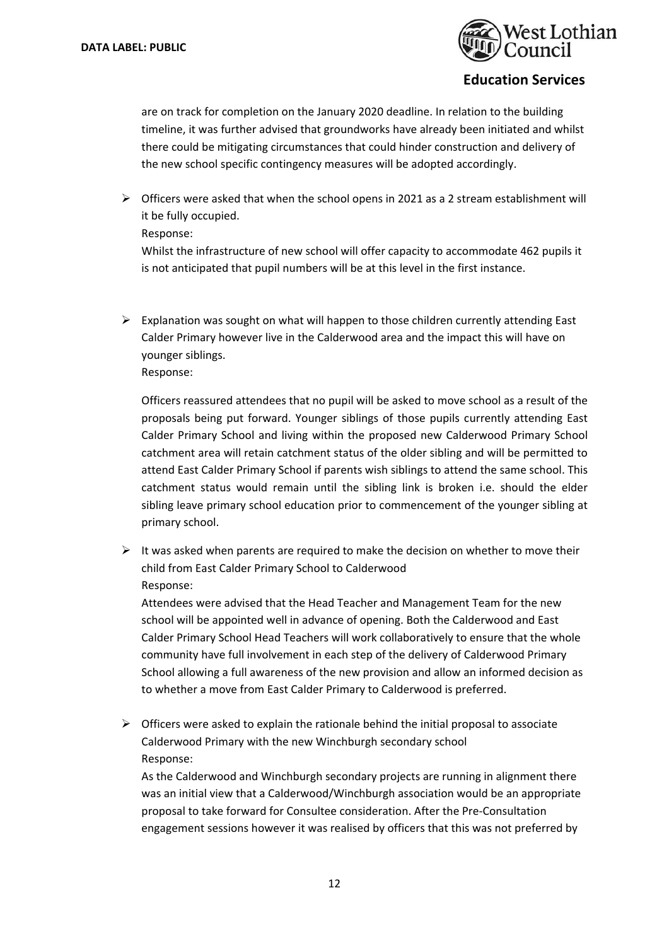

are on track for completion on the January 2020 deadline. In relation to the building timeline, it was further advised that groundworks have already been initiated and whilst there could be mitigating circumstances that could hinder construction and delivery of the new school specific contingency measures will be adopted accordingly.

- $\triangleright$  Officers were asked that when the school opens in 2021 as a 2 stream establishment will it be fully occupied.
	- Response:

Whilst the infrastructure of new school will offer capacity to accommodate 462 pupils it is not anticipated that pupil numbers will be at this level in the first instance.

 $\triangleright$  Explanation was sought on what will happen to those children currently attending East Calder Primary however live in the Calderwood area and the impact this will have on younger siblings.

Response:

Officers reassured attendees that no pupil will be asked to move school as a result of the proposals being put forward. Younger siblings of those pupils currently attending East Calder Primary School and living within the proposed new Calderwood Primary School catchment area will retain catchment status of the older sibling and will be permitted to attend East Calder Primary School if parents wish siblings to attend the same school. This catchment status would remain until the sibling link is broken i.e. should the elder sibling leave primary school education prior to commencement of the younger sibling at primary school.

 $\triangleright$  It was asked when parents are required to make the decision on whether to move their child from East Calder Primary School to Calderwood Response:

Attendees were advised that the Head Teacher and Management Team for the new school will be appointed well in advance of opening. Both the Calderwood and East Calder Primary School Head Teachers will work collaboratively to ensure that the whole community have full involvement in each step of the delivery of Calderwood Primary School allowing a full awareness of the new provision and allow an informed decision as to whether a move from East Calder Primary to Calderwood is preferred.

 $\triangleright$  Officers were asked to explain the rationale behind the initial proposal to associate Calderwood Primary with the new Winchburgh secondary school Response:

As the Calderwood and Winchburgh secondary projects are running in alignment there was an initial view that a Calderwood/Winchburgh association would be an appropriate proposal to take forward for Consultee consideration. After the Pre‐Consultation engagement sessions however it was realised by officers that this was not preferred by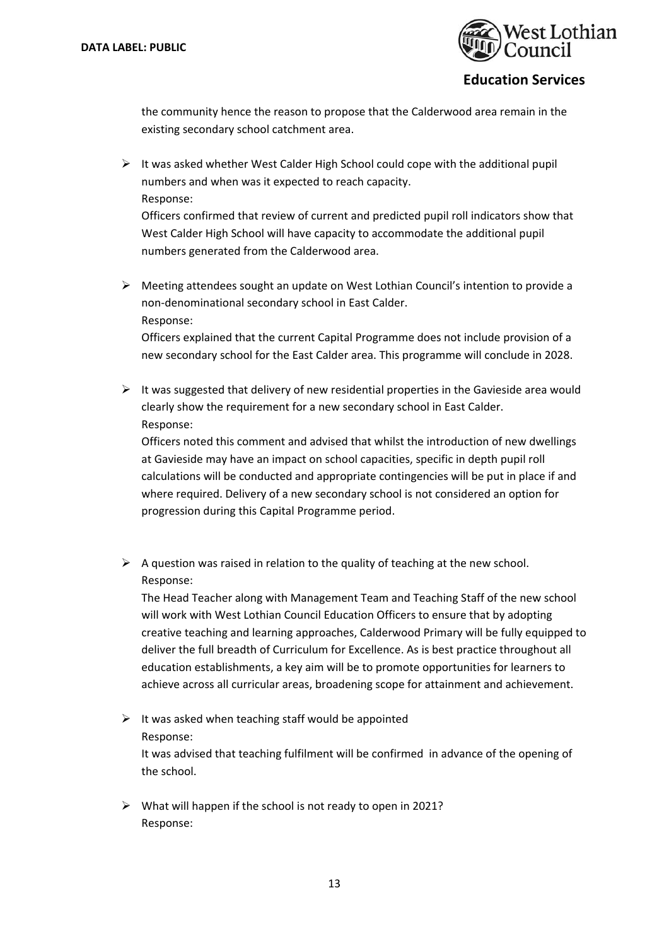

the community hence the reason to propose that the Calderwood area remain in the existing secondary school catchment area.

 $\triangleright$  It was asked whether West Calder High School could cope with the additional pupil numbers and when was it expected to reach capacity. Response:

Officers confirmed that review of current and predicted pupil roll indicators show that West Calder High School will have capacity to accommodate the additional pupil numbers generated from the Calderwood area.

 $\triangleright$  Meeting attendees sought an update on West Lothian Council's intention to provide a non‐denominational secondary school in East Calder. Response:

Officers explained that the current Capital Programme does not include provision of a new secondary school for the East Calder area. This programme will conclude in 2028.

 $\triangleright$  It was suggested that delivery of new residential properties in the Gavieside area would clearly show the requirement for a new secondary school in East Calder. Response:

Officers noted this comment and advised that whilst the introduction of new dwellings at Gavieside may have an impact on school capacities, specific in depth pupil roll calculations will be conducted and appropriate contingencies will be put in place if and where required. Delivery of a new secondary school is not considered an option for progression during this Capital Programme period.

 $\triangleright$  A question was raised in relation to the quality of teaching at the new school. Response:

The Head Teacher along with Management Team and Teaching Staff of the new school will work with West Lothian Council Education Officers to ensure that by adopting creative teaching and learning approaches, Calderwood Primary will be fully equipped to deliver the full breadth of Curriculum for Excellence. As is best practice throughout all education establishments, a key aim will be to promote opportunities for learners to achieve across all curricular areas, broadening scope for attainment and achievement.

 $\triangleright$  It was asked when teaching staff would be appointed Response:

It was advised that teaching fulfilment will be confirmed in advance of the opening of the school.

 $\triangleright$  What will happen if the school is not ready to open in 2021? Response: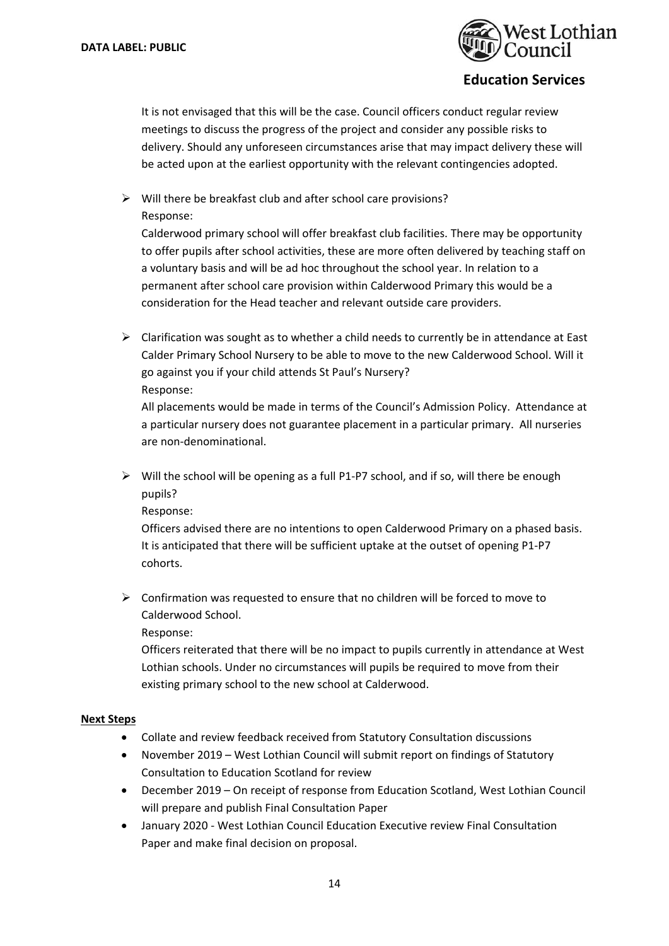

It is not envisaged that this will be the case. Council officers conduct regular review meetings to discuss the progress of the project and consider any possible risks to delivery. Should any unforeseen circumstances arise that may impact delivery these will be acted upon at the earliest opportunity with the relevant contingencies adopted.

 $\triangleright$  Will there be breakfast club and after school care provisions? Response:

Calderwood primary school will offer breakfast club facilities. There may be opportunity to offer pupils after school activities, these are more often delivered by teaching staff on a voluntary basis and will be ad hoc throughout the school year. In relation to a permanent after school care provision within Calderwood Primary this would be a consideration for the Head teacher and relevant outside care providers.

 $\triangleright$  Clarification was sought as to whether a child needs to currently be in attendance at East Calder Primary School Nursery to be able to move to the new Calderwood School. Will it go against you if your child attends St Paul's Nursery? Response:

All placements would be made in terms of the Council's Admission Policy. Attendance at a particular nursery does not guarantee placement in a particular primary. All nurseries are non‐denominational.

 Will the school will be opening as a full P1‐P7 school, and if so, will there be enough pupils?

Response:

Officers advised there are no intentions to open Calderwood Primary on a phased basis. It is anticipated that there will be sufficient uptake at the outset of opening P1‐P7 cohorts.

 $\triangleright$  Confirmation was requested to ensure that no children will be forced to move to Calderwood School.

Response:

Officers reiterated that there will be no impact to pupils currently in attendance at West Lothian schools. Under no circumstances will pupils be required to move from their existing primary school to the new school at Calderwood.

#### **Next Steps**

- Collate and review feedback received from Statutory Consultation discussions
- November 2019 West Lothian Council will submit report on findings of Statutory Consultation to Education Scotland for review
- December 2019 On receipt of response from Education Scotland, West Lothian Council will prepare and publish Final Consultation Paper
- January 2020 ‐ West Lothian Council Education Executive review Final Consultation Paper and make final decision on proposal.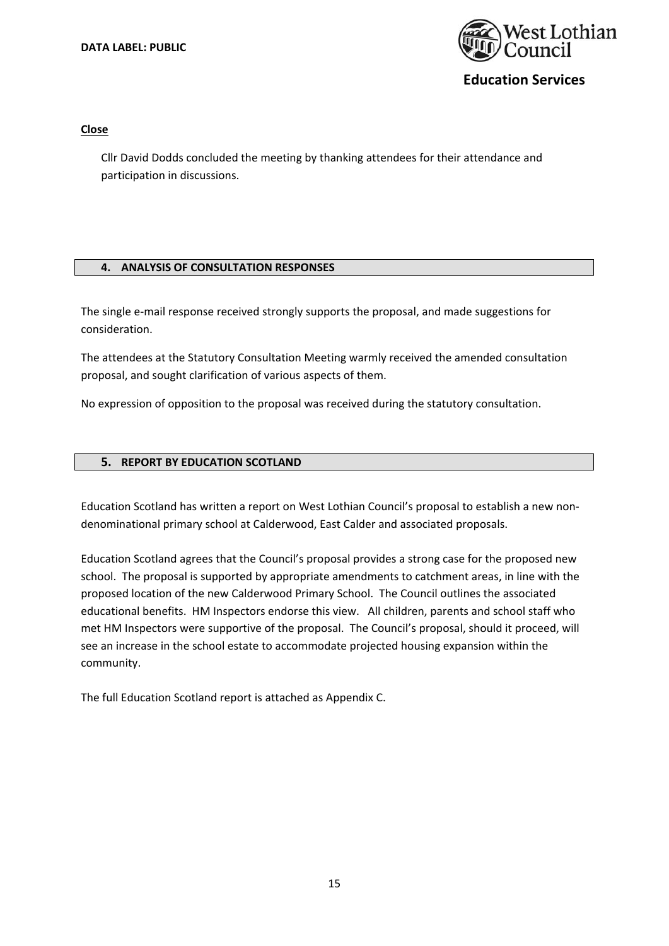

#### **Close**

Cllr David Dodds concluded the meeting by thanking attendees for their attendance and participation in discussions.

#### **4. ANALYSIS OF CONSULTATION RESPONSES**

The single e-mail response received strongly supports the proposal, and made suggestions for consideration.

The attendees at the Statutory Consultation Meeting warmly received the amended consultation proposal, and sought clarification of various aspects of them.

No expression of opposition to the proposal was received during the statutory consultation.

#### **5. REPORT BY EDUCATION SCOTLAND**

Education Scotland has written a report on West Lothian Council's proposal to establish a new non‐ denominational primary school at Calderwood, East Calder and associated proposals.

Education Scotland agrees that the Council's proposal provides a strong case for the proposed new school. The proposal is supported by appropriate amendments to catchment areas, in line with the proposed location of the new Calderwood Primary School. The Council outlines the associated educational benefits. HM Inspectors endorse this view. All children, parents and school staff who met HM Inspectors were supportive of the proposal. The Council's proposal, should it proceed, will see an increase in the school estate to accommodate projected housing expansion within the community.

The full Education Scotland report is attached as Appendix C.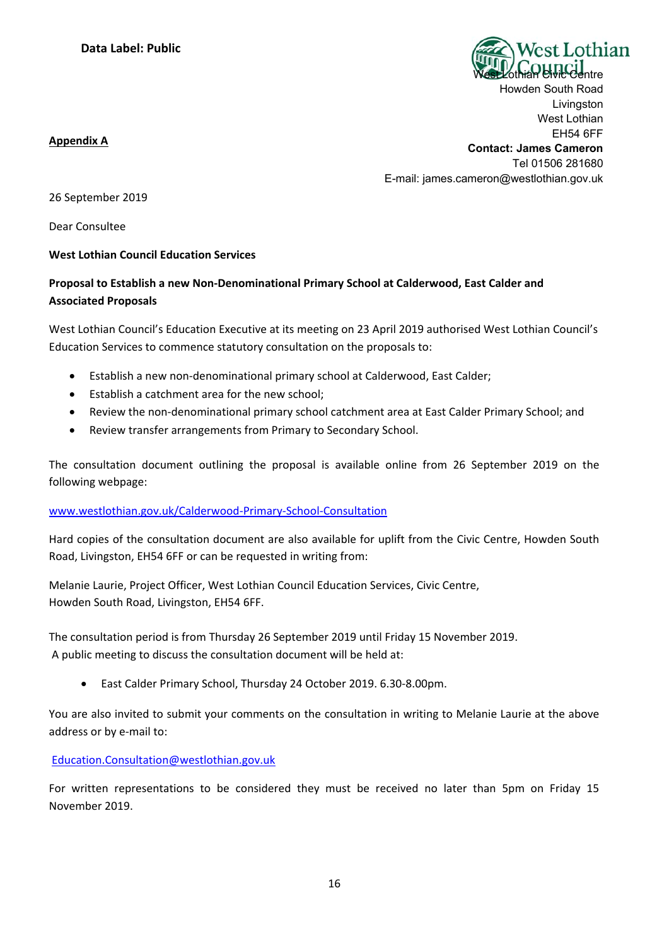

Howden South Road Livingston West Lothian EH54 6FF

#### **Appendix A**

**Contact: James Cameron**  Tel 01506 281680 E-mail: james.cameron@westlothian.gov.uk

26 September 2019

Dear Consultee

## **West Lothian Council Education Services**

# **Proposal to Establish a new Non‐Denominational Primary School at Calderwood, East Calder and Associated Proposals**

West Lothian Council's Education Executive at its meeting on 23 April 2019 authorised West Lothian Council's Education Services to commence statutory consultation on the proposals to:

- Establish a new non‐denominational primary school at Calderwood, East Calder;
- Establish a catchment area for the new school;
- Review the non-denominational primary school catchment area at East Calder Primary School; and
- Review transfer arrangements from Primary to Secondary School.

The consultation document outlining the proposal is available online from 26 September 2019 on the following webpage:

## www.westlothian.gov.uk/Calderwood‐Primary‐School‐Consultation

Hard copies of the consultation document are also available for uplift from the Civic Centre, Howden South Road, Livingston, EH54 6FF or can be requested in writing from:

Melanie Laurie, Project Officer, West Lothian Council Education Services, Civic Centre, Howden South Road, Livingston, EH54 6FF.

The consultation period is from Thursday 26 September 2019 until Friday 15 November 2019. A public meeting to discuss the consultation document will be held at:

East Calder Primary School, Thursday 24 October 2019. 6.30‐8.00pm.

You are also invited to submit your comments on the consultation in writing to Melanie Laurie at the above address or by e‐mail to:

Education.Consultation@westlothian.gov.uk

For written representations to be considered they must be received no later than 5pm on Friday 15 November 2019.